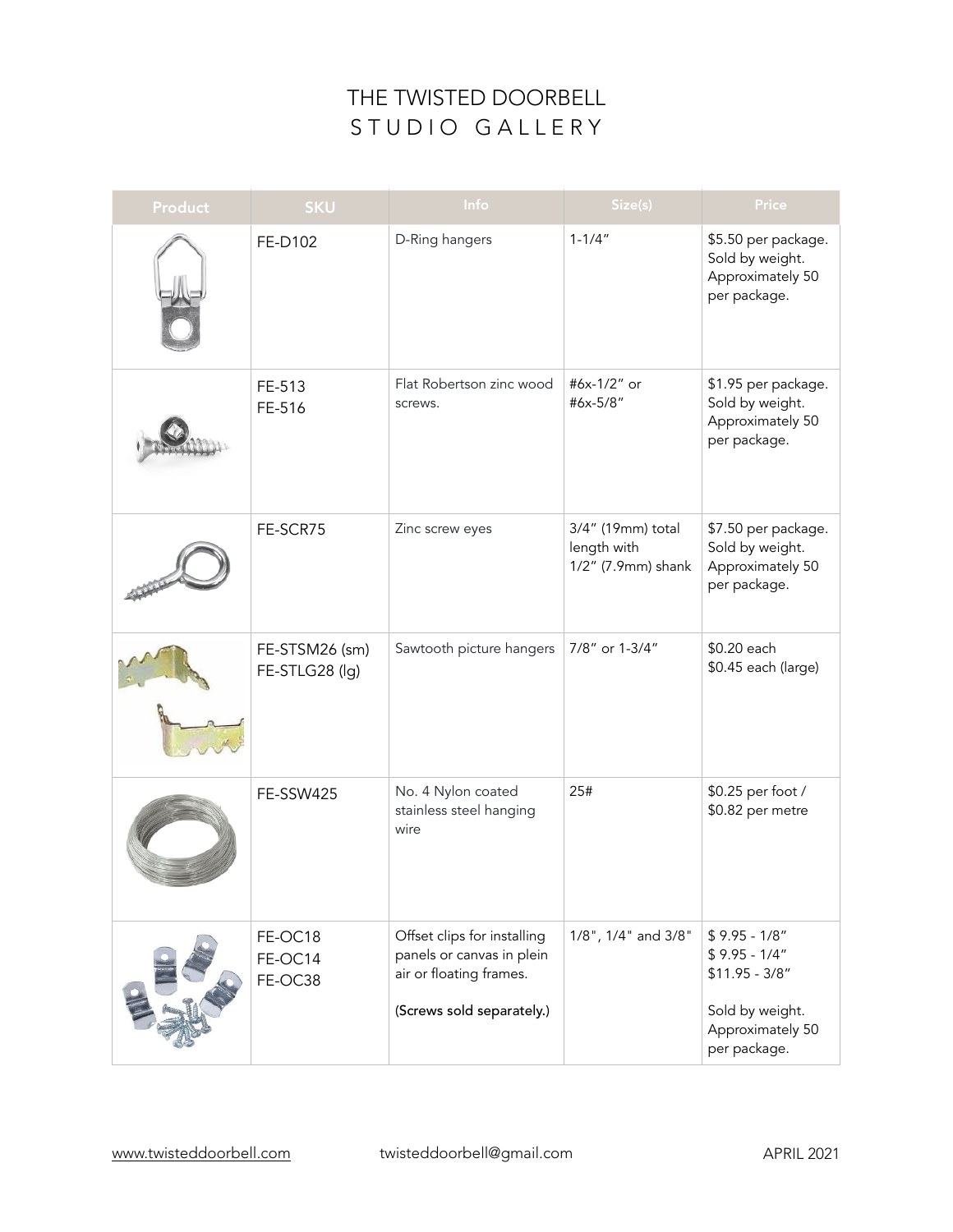| <b>Product</b> | <b>SKU</b>                       | Info                                                                                                             | Size(s)                                                | Price                                                                                                      |
|----------------|----------------------------------|------------------------------------------------------------------------------------------------------------------|--------------------------------------------------------|------------------------------------------------------------------------------------------------------------|
|                | FE-D102                          | D-Ring hangers                                                                                                   | $1 - 1/4"$                                             | \$5.50 per package.<br>Sold by weight.<br>Approximately 50<br>per package.                                 |
|                | FE-513<br>FE-516                 | Flat Robertson zinc wood<br>screws.                                                                              | #6x-1/2" or<br>#6x-5/8"                                | \$1.95 per package.<br>Sold by weight.<br>Approximately 50<br>per package.                                 |
|                | FE-SCR75                         | Zinc screw eyes                                                                                                  | 3/4" (19mm) total<br>length with<br>1/2" (7.9mm) shank | \$7.50 per package.<br>Sold by weight.<br>Approximately 50<br>per package.                                 |
|                | FE-STSM26 (sm)<br>FE-STLG28 (lg) | Sawtooth picture hangers                                                                                         | 7/8" or 1-3/4"                                         | \$0.20 each<br>\$0.45 each (large)                                                                         |
|                | FE-SSW425                        | No. 4 Nylon coated<br>stainless steel hanging<br>wire                                                            | 25#                                                    | \$0.25 per foot /<br>\$0.82 per metre                                                                      |
|                | FE-OC18<br>FE-OC14<br>FE-OC38    | Offset clips for installing<br>panels or canvas in plein<br>air or floating frames.<br>(Screws sold separately.) | 1/8", 1/4" and 3/8"                                    | $$9.95 - 1/8"$<br>$$9.95 - 1/4"$<br>$$11.95 - 3/8"$<br>Sold by weight.<br>Approximately 50<br>per package. |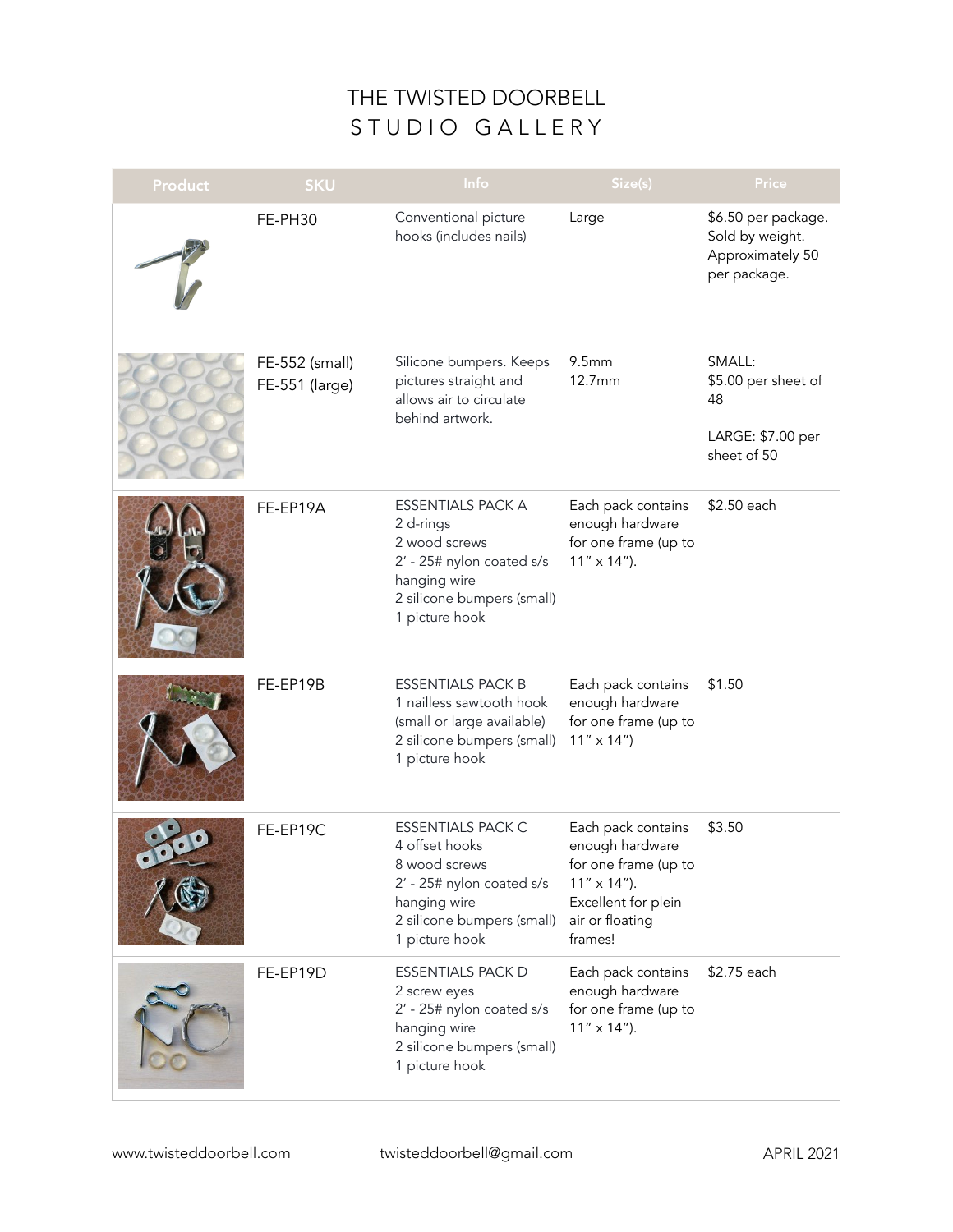| <b>Product</b> | <b>SKU</b>                       | Info                                                                                                                                                     | Size(s)                                                                                                                                    | Price                                                                      |
|----------------|----------------------------------|----------------------------------------------------------------------------------------------------------------------------------------------------------|--------------------------------------------------------------------------------------------------------------------------------------------|----------------------------------------------------------------------------|
|                | FE-PH30                          | Conventional picture<br>hooks (includes nails)                                                                                                           | Large                                                                                                                                      | \$6.50 per package.<br>Sold by weight.<br>Approximately 50<br>per package. |
|                | FE-552 (small)<br>FE-551 (large) | Silicone bumpers. Keeps<br>pictures straight and<br>allows air to circulate<br>behind artwork.                                                           | 9.5mm<br>12.7mm                                                                                                                            | SMALL:<br>\$5.00 per sheet of<br>48<br>LARGE: \$7.00 per<br>sheet of 50    |
|                | FE-EP19A                         | <b>ESSENTIALS PACK A</b><br>2 d-rings<br>2 wood screws<br>2' - 25# nylon coated s/s<br>hanging wire<br>2 silicone bumpers (small)<br>1 picture hook      | Each pack contains<br>enough hardware<br>for one frame (up to<br>$11'' \times 14'$ ).                                                      | \$2.50 each                                                                |
|                | FE-EP19B                         | <b>ESSENTIALS PACK B</b><br>1 nailless sawtooth hook<br>(small or large available)<br>2 silicone bumpers (small)<br>1 picture hook                       | Each pack contains<br>enough hardware<br>for one frame (up to<br>$11'' \times 14'$                                                         | \$1.50                                                                     |
|                | FE-EP19C                         | <b>ESSENTIALS PACK C</b><br>4 offset hooks<br>8 wood screws<br>2' - 25# nylon coated s/s<br>hanging wire<br>2 silicone bumpers (small)<br>1 picture hook | Each pack contains<br>enough hardware<br>for one frame (up to<br>$11'' \times 14'$ ).<br>Excellent for plein<br>air or floating<br>frames! | \$3.50                                                                     |
|                | FE-EP19D                         | <b>ESSENTIALS PACK D</b><br>2 screw eyes<br>2' - 25# nylon coated s/s<br>hanging wire<br>2 silicone bumpers (small)<br>1 picture hook                    | Each pack contains<br>enough hardware<br>for one frame (up to<br>$11'' \times 14'$ ).                                                      | \$2.75 each                                                                |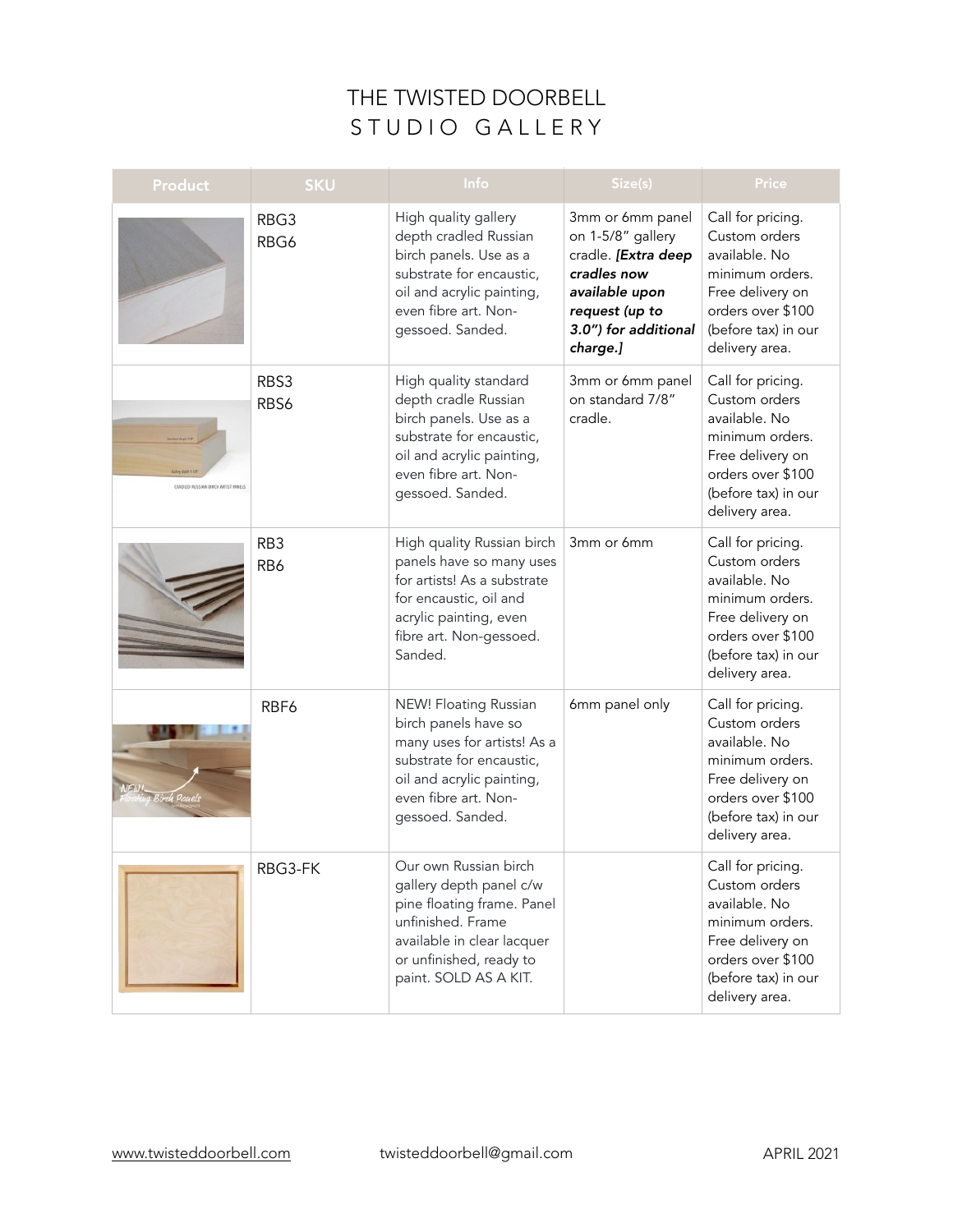| <b>Product</b>                      | <b>SKU</b>             | Info                                                                                                                                                                                  | Size(s)                                                                                                                                             | Price                                                                                                                                                    |
|-------------------------------------|------------------------|---------------------------------------------------------------------------------------------------------------------------------------------------------------------------------------|-----------------------------------------------------------------------------------------------------------------------------------------------------|----------------------------------------------------------------------------------------------------------------------------------------------------------|
|                                     | RBG3<br>RBG6           | High quality gallery<br>depth cradled Russian<br>birch panels. Use as a<br>substrate for encaustic,<br>oil and acrylic painting,<br>even fibre art. Non-<br>gessoed. Sanded.          | 3mm or 6mm panel<br>on 1-5/8" gallery<br>cradle. [Extra deep<br>cradles now<br>available upon<br>request (up to<br>3.0") for additional<br>charge.] | Call for pricing.<br>Custom orders<br>available. No<br>minimum orders.<br>Free delivery on<br>orders over \$100<br>(before tax) in our<br>delivery area. |
| CRADUID BUSSIAN/BIRCH ARTIST PANELS | RBS3<br>RBS6           | High quality standard<br>depth cradle Russian<br>birch panels. Use as a<br>substrate for encaustic,<br>oil and acrylic painting,<br>even fibre art. Non-<br>gessoed. Sanded.          | 3mm or 6mm panel<br>on standard 7/8"<br>cradle.                                                                                                     | Call for pricing.<br>Custom orders<br>available. No<br>minimum orders.<br>Free delivery on<br>orders over \$100<br>(before tax) in our<br>delivery area. |
|                                     | RB <sub>3</sub><br>RB6 | High quality Russian birch<br>panels have so many uses<br>for artists! As a substrate<br>for encaustic, oil and<br>acrylic painting, even<br>fibre art. Non-gessoed.<br>Sanded.       | 3mm or 6mm                                                                                                                                          | Call for pricing.<br>Custom orders<br>available. No<br>minimum orders.<br>Free delivery on<br>orders over \$100<br>(before tax) in our<br>delivery area. |
| ch Pauels                           | RBF6                   | NEW! Floating Russian<br>birch panels have so<br>many uses for artists! As a<br>substrate for encaustic,<br>oil and acrylic painting,<br>even fibre art. Non-<br>gessoed. Sanded.     | 6mm panel only                                                                                                                                      | Call for pricing.<br>Custom orders<br>available. No<br>minimum orders.<br>Free delivery on<br>orders over \$100<br>(before tax) in our<br>delivery area. |
|                                     | RBG3-FK                | Our own Russian birch<br>gallery depth panel c/w<br>pine floating frame. Panel<br>unfinished. Frame<br>available in clear lacquer<br>or unfinished, ready to<br>paint. SOLD AS A KIT. |                                                                                                                                                     | Call for pricing.<br>Custom orders<br>available. No<br>minimum orders.<br>Free delivery on<br>orders over \$100<br>(before tax) in our<br>delivery area. |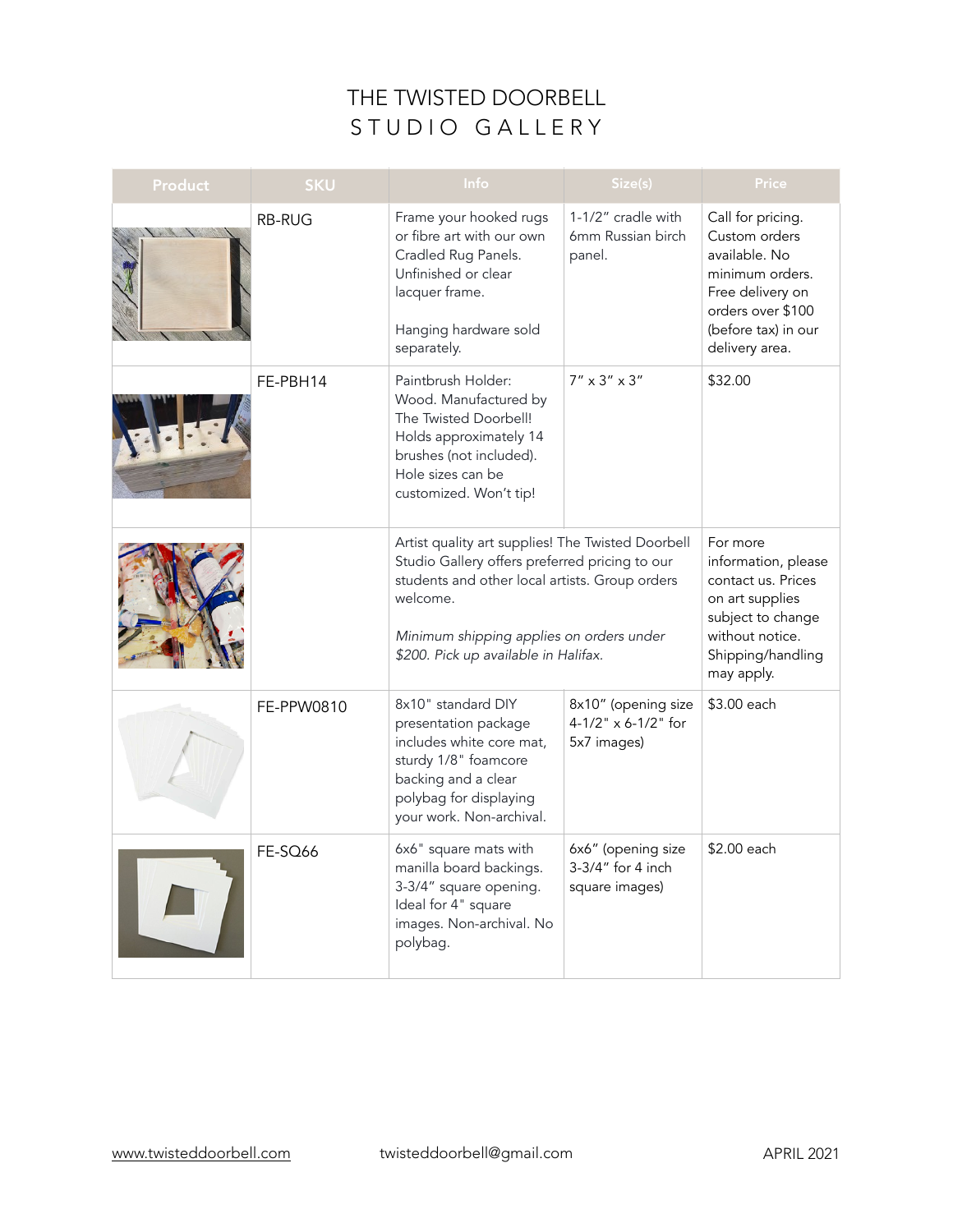| <b>Product</b> | <b>SKU</b>    | Info                                                                                                                                                                                                                                                  | Size(s)                                                      | Price                                                                                                                                                    |
|----------------|---------------|-------------------------------------------------------------------------------------------------------------------------------------------------------------------------------------------------------------------------------------------------------|--------------------------------------------------------------|----------------------------------------------------------------------------------------------------------------------------------------------------------|
|                | <b>RB-RUG</b> | Frame your hooked rugs<br>or fibre art with our own<br>Cradled Rug Panels.<br>Unfinished or clear<br>lacquer frame.<br>Hanging hardware sold<br>separately.                                                                                           | 1-1/2" cradle with<br>6mm Russian birch<br>panel.            | Call for pricing.<br>Custom orders<br>available. No<br>minimum orders.<br>Free delivery on<br>orders over \$100<br>(before tax) in our<br>delivery area. |
|                | FE-PBH14      | Paintbrush Holder:<br>Wood. Manufactured by<br>The Twisted Doorbell!<br>Holds approximately 14<br>brushes (not included).<br>Hole sizes can be<br>customized. Won't tip!                                                                              | $7''\times3''\times3''$                                      | \$32.00                                                                                                                                                  |
|                |               | Artist quality art supplies! The Twisted Doorbell<br>Studio Gallery offers preferred pricing to our<br>students and other local artists. Group orders<br>welcome.<br>Minimum shipping applies on orders under<br>\$200. Pick up available in Halifax. |                                                              | For more<br>information, please<br>contact us. Prices<br>on art supplies<br>subject to change<br>without notice.<br>Shipping/handling<br>may apply.      |
|                | FE-PPW0810    | 8x10" standard DIY<br>presentation package<br>includes white core mat,<br>sturdy 1/8" foamcore<br>backing and a clear<br>polybag for displaying<br>your work. Non-archival.                                                                           | 8x10" (opening size<br>$4-1/2$ " x 6-1/2" for<br>5x7 images) | \$3.00 each                                                                                                                                              |
|                | FE-SQ66       | 6x6" square mats with<br>manilla board backings.<br>3-3/4" square opening.<br>Ideal for 4" square<br>images. Non-archival. No<br>polybag.                                                                                                             | 6x6" (opening size<br>3-3/4" for 4 inch<br>square images)    | \$2.00 each                                                                                                                                              |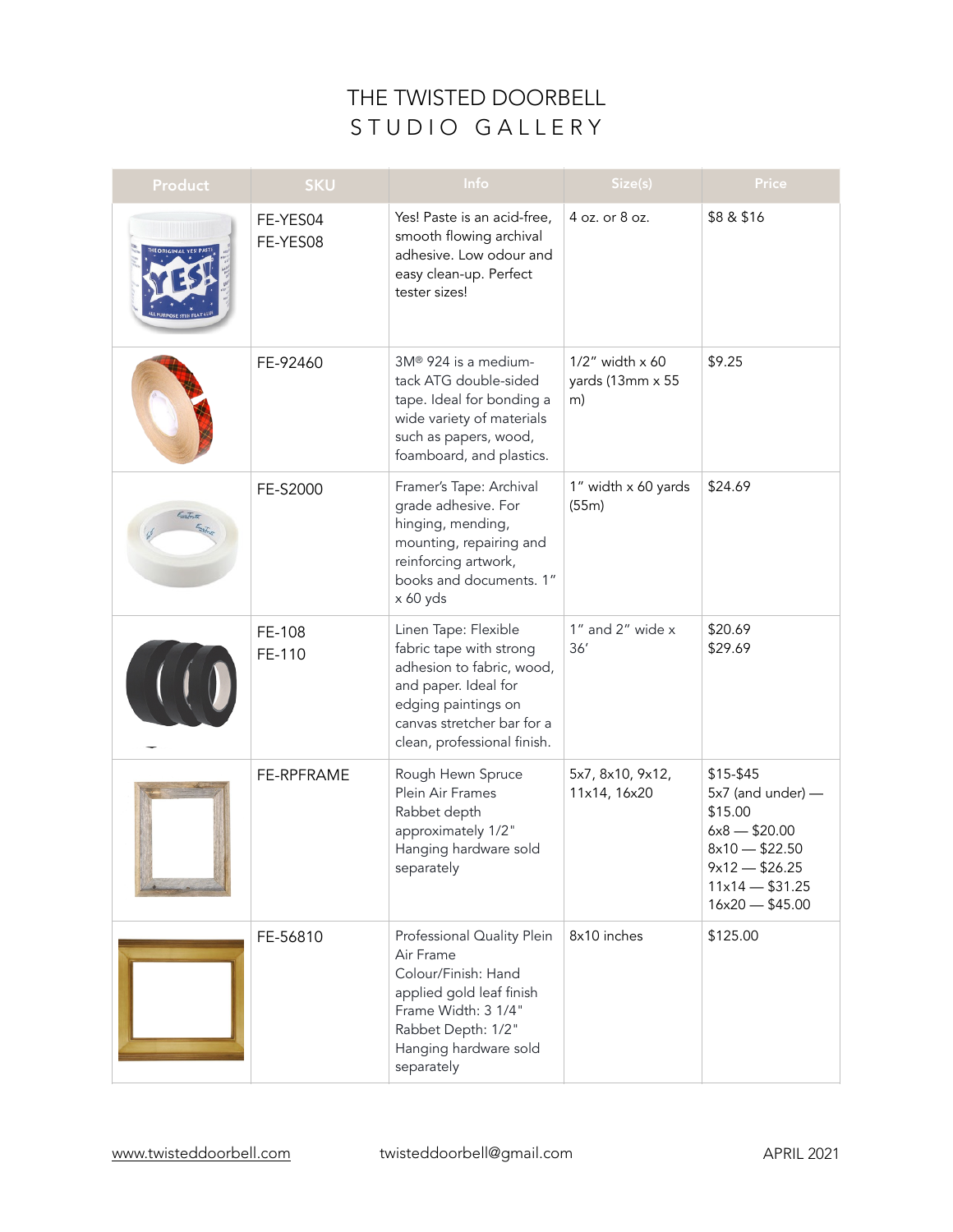| Product | <b>SKU</b>           | Info                                                                                                                                                                                     | Size(s)                                             | Price                                                                                                                                     |
|---------|----------------------|------------------------------------------------------------------------------------------------------------------------------------------------------------------------------------------|-----------------------------------------------------|-------------------------------------------------------------------------------------------------------------------------------------------|
|         | FE-YES04<br>FE-YES08 | Yes! Paste is an acid-free,<br>smooth flowing archival<br>adhesive. Low odour and<br>easy clean-up. Perfect<br>tester sizes!                                                             | 4 oz. or 8 oz.                                      | \$8 & \$16                                                                                                                                |
|         | FE-92460             | 3M® 924 is a medium-<br>tack ATG double-sided<br>tape. Ideal for bonding a<br>wide variety of materials<br>such as papers, wood,<br>foamboard, and plastics.                             | $1/2$ " width $\times$ 60<br>yards (13mm x 55<br>m) | \$9.25                                                                                                                                    |
|         | FE-S2000             | Framer's Tape: Archival<br>grade adhesive. For<br>hinging, mending,<br>mounting, repairing and<br>reinforcing artwork,<br>books and documents. 1"<br>x 60 yds                            | 1" width x 60 yards<br>(55m)                        | \$24.69                                                                                                                                   |
|         | FE-108<br>FE-110     | Linen Tape: Flexible<br>fabric tape with strong<br>adhesion to fabric, wood,<br>and paper. Ideal for<br>edging paintings on<br>canvas stretcher bar for a<br>clean, professional finish. | 1" and 2" wide x<br>36'                             | \$20.69<br>\$29.69                                                                                                                        |
|         | FE-RPFRAME           | Rough Hewn Spruce<br>Plein Air Frames<br>Rabbet depth<br>approximately 1/2"<br>Hanging hardware sold<br>separately                                                                       | 5x7, 8x10, 9x12,<br>11x14, 16x20                    | \$15-\$45<br>5x7 (and under) -<br>\$15.00<br>$6x8 - $20.00$<br>$8x10 - $22.50$<br>$9x12 - $26.25$<br>$11x14 - $31.25$<br>$16x20 - $45.00$ |
|         | FE-56810             | Professional Quality Plein<br>Air Frame<br>Colour/Finish: Hand<br>applied gold leaf finish<br>Frame Width: 3 1/4"<br>Rabbet Depth: 1/2"<br>Hanging hardware sold<br>separately           | 8x10 inches                                         | \$125.00                                                                                                                                  |